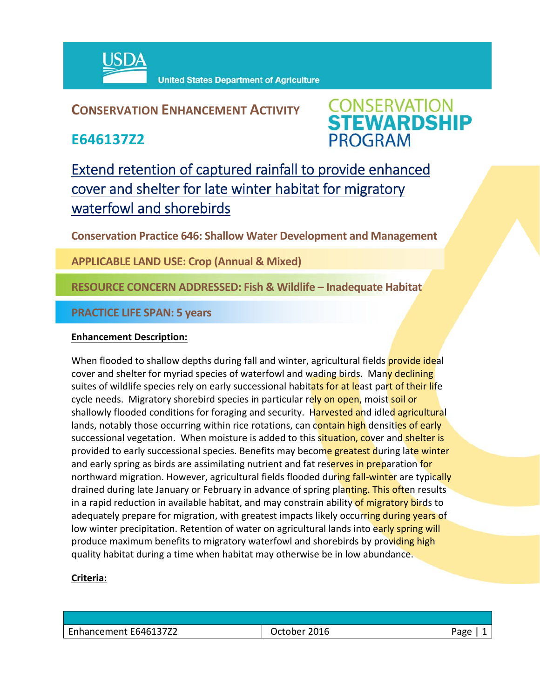

**United States Department of Agriculture** 

## **CONSERVATION ENHANCEMENT ACTIVITY**

**E646137Z2**



Extend retention of captured rainfall to provide enhanced cover and shelter for late winter habitat for migratory waterfowl and shorebirds

**Conservation Practice 646: Shallow Water Development and Management**

**APPLICABLE LAND USE: Crop (Annual & Mixed)**

**RESOURCE CONCERN ADDRESSED: Fish & Wildlife – Inadequate Habitat**

**PRACTICE LIFE SPAN: 5 years**

## **Enhancement Description:**

When flooded to shallow depths during fall and winter, agricultural fields **provide ideal** cover and shelter for myriad species of waterfowl and wading birds. Many declining suites of wildlife species rely on early successional habitats for at least part of their life cycle needs. Migratory shorebird species in particular rely on open, moist soil or shallowly flooded conditions for foraging and security. Harvested and idled agricultural lands, notably those occurring within rice rotations, can contain high densities of early successional vegetation. When moisture is added to this situation, cover and shelter is provided to early successional species. Benefits may become greatest during late winter and early spring as birds are assimilating nutrient and fat reserves in preparation for northward migration. However, agricultural fields flooded during fall-winter are typically drained during late January or February in advance of spring planting. This often results in a rapid reduction in available habitat, and may constrain ability of migratory birds to adequately prepare for migration, with greatest impacts likely occurring during years of low winter precipitation. Retention of water on agricultural lands into early spring will produce maximum benefits to migratory waterfowl and shorebirds by providing high quality habitat during a time when habitat may otherwise be in low abundance.

## **Criteria:**

| Enhancement E646137Z2 | 2016<br><b>October</b> | $\sim$ $\sim$ $\sim$<br>- 400 |
|-----------------------|------------------------|-------------------------------|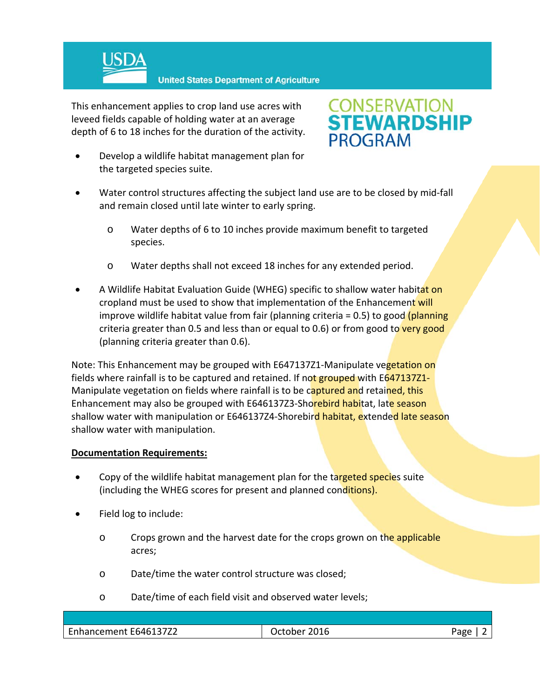

**United States Department of Agriculture** 

This enhancement applies to crop land use acres with leveed fields capable of holding water at an average depth of 6 to 18 inches for the duration of the activity.

 Develop a wildlife habitat management plan for the targeted species suite.



- Water control structures affecting the subject land use are to be closed by mid-fall and remain closed until late winter to early spring.
	- o Water depths of 6 to 10 inches provide maximum benefit to targeted species.
	- o Water depths shall not exceed 18 inches for any extended period.
- A Wildlife Habitat Evaluation Guide (WHEG) specific to shallow water habitat on cropland must be used to show that implementation of the Enhancement will improve wildlife habitat value from fair (planning criteria  $= 0.5$ ) to good (planning criteria greater than 0.5 and less than or equal to 0.6) or from good to very good (planning criteria greater than 0.6).

Note: This Enhancement may be grouped with E647137Z1-Manipulate vegetation on fields where rainfall is to be captured and retained. If not grouped with E647137Z1-Manipulate vegetation on fields where rainfall is to be captured and retained, this Enhancement may also be grouped with E646137Z3-Shorebird habitat, late season shallow water with manipulation or E646137Z4-Shorebird habitat, extended late season shallow water with manipulation.

## **Documentation Requirements:**

- Copy of the wildlife habitat management plan for the targeted species suite (including the WHEG scores for present and planned conditions).
- Field log to include:
	- o Crops grown and the harvest date for the crops grown on the applicable acres;
	- o Date/time the water control structure was closed;
	- o Date/time of each field visit and observed water levels;

| Enhancement E646137Z2 | 201 $\epsilon$<br>Jctober<br>2016 | Page |
|-----------------------|-----------------------------------|------|